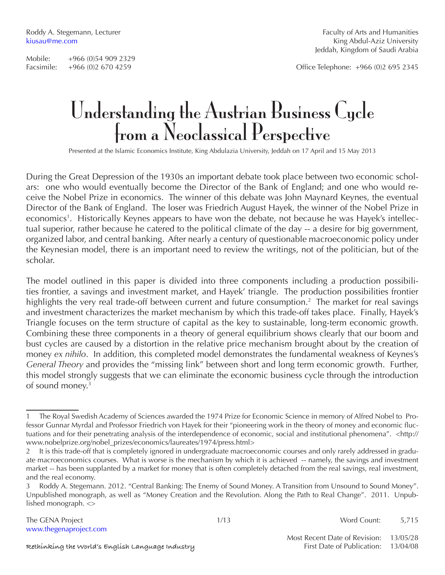Facsimile: +966 (0)2 670 4259 Office Telephone: +966 (0)2 695 2345

# Understanding the Austrian Business Cycle from a Neoclassical Perspective

Presented at the Islamic Economics Institute, King Abdulazia University, Jeddah on 17 April and 15 May 2013

During the Great Depression of the 1930s an important debate took place between two economic scholars: one who would eventually become the Director of the Bank of England; and one who would receive the Nobel Prize in economics. The winner of this debate was John Maynard Keynes, the eventual Director of the Bank of England. The loser was Friedrich August Hayek, the winner of the Nobel Prize in economics<sup>1</sup>. Historically Keynes appears to have won the debate, not because he was Hayek's intellectual superior, rather because he catered to the political climate of the day -- a desire for big government, organized labor, and central banking. After nearly a century of questionable macroeconomic policy under the Keynesian model, there is an important need to review the writings, not of the politician, but of the scholar.

The model outlined in this paper is divided into three components including a production possibilities frontier, a savings and investment market, and Hayek' triangle. The production possibilities frontier highlights the very real trade-off between current and future consumption.<sup>2</sup> The market for real savings and investment characterizes the market mechanism by which this trade-off takes place. Finally, Hayek's Triangle focuses on the term structure of capital as the key to sustainable, long-term economic growth. Combining these three components in a theory of general equilibrium shows clearly that our boom and bust cycles are caused by a distortion in the relative price mechanism brought about by the creation of money *ex nihilo*. In addition, this completed model demonstrates the fundamental weakness of Keynes's *General Theory* and provides the "missing link" between short and long term economic growth. Further, this model strongly suggests that we can eliminate the economic business cycle through the introduction of sound money.<sup>3</sup>

<sup>1</sup> The Royal Swedish Academy of Sciences awarded the 1974 Prize for Economic Science in memory of Alfred Nobel to Professor Gunnar Myrdal and Professor Friedrich von Hayek for their "pioneering work in the theory of money and economic fluctuations and for their penetrating analysis of the interdependence of economic, social and institutional phenomena". <http:// www.nobelprize.org/nobel\_prizes/economics/laureates/1974/press.html>

<sup>2</sup> It is this trade-off that is completely ignored in undergraduate macroeconomic courses and only rarely addressed in graduate macroeconomics courses. What is worse is the mechanism by which it is achieved -- namely, the savings and investment market -- has been supplanted by a market for money that is often completely detached from the real savings, real investment, and the real economy.

<sup>3</sup> Roddy A. Stegemann. 2012. "Central Banking: The Enemy of Sound Money. A Transition from Unsound to Sound Money". Unpublished monograph, as well as "Money Creation and the Revolution. Along the Path to Real Change". 2011. Unpublished monograph. <>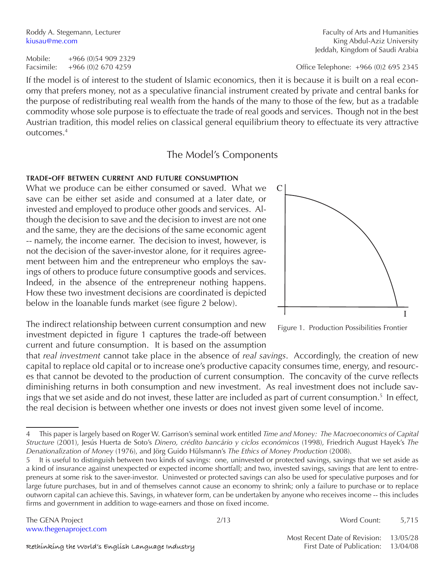If the model is of interest to the student of Islamic economics, then it is because it is built on a real economy that prefers money, not as a speculative financial instrument created by private and central banks for the purpose of redistributing real wealth from the hands of the many to those of the few, but as a tradable commodity whose sole purpose is to effectuate the trade of real goods and services. Though not in the best Austrian tradition, this model relies on classical general equilibrium theory to effectuate its very attractive outcomes.4

# The Model's Components

#### **trade-off between current and future consumption**

What we produce can be either consumed or saved. What we save can be either set aside and consumed at a later date, or invested and employed to produce other goods and services. Although the decision to save and the decision to invest are not one and the same, they are the decisions of the same economic agent -- namely, the income earner. The decision to invest, however, is not the decision of the saver-investor alone, for it requires agreement between him and the entrepreneur who employs the savings of others to produce future consumptive goods and services. Indeed, in the absence of the entrepreneur nothing happens. How these two investment decisions are coordinated is depicted below in the loanable funds market (see figure 2 below).

The indirect relationship between current consumption and new investment depicted in figure 1 captures the trade-off between current and future consumption. It is based on the assumption

that *real investment* cannot take place in the absence of *real savings*. Accordingly, the creation of new capital to replace old capital or to increase one's productive capacity consumes time, energy, and resources that cannot be devoted to the production of current consumption. The concavity of the curve reflects diminishing returns in both consumption and new investment. As real investment does not include savings that we set aside and do not invest, these latter are included as part of current consumption.<sup>5</sup> In effect, the real decision is between whether one invests or does not invest given some level of income.

Facsimile: +966 (0)2 670 4259 Office Telephone: +966 (0)2 695 2345



Figure 1. Production Possibilities Frontier

<sup>4</sup> This paper is largely based on Roger W. Garrison's seminal work entitled *Time and Money: The Macroeconomics of Capital Structure* (2001), Jesús Huerta de Soto's *Dinero, crédito bancário y ciclos económicos* (1998), Friedrich August Hayek's *The Denationalization of Money* (1976), and Jörg Guido Hülsmann's *The Ethics of Money Production* (2008).

<sup>5</sup> It is useful to distinguish between two kinds of savings: one, uninvested or protected savings, savings that we set aside as a kind of insurance against unexpected or expected income shortfall; and two, invested savings, savings that are lent to entrepreneurs at some risk to the saver-investor. Uninvested or protected savings can also be used for speculative purposes and for large future purchases, but in and of themselves cannot cause an economy to shrink; only a failure to purchase or to replace outworn capital can achieve this. Savings, in whatever form, can be undertaken by anyone who receives income -- this includes firms and government in addition to wage-earners and those on fixed income.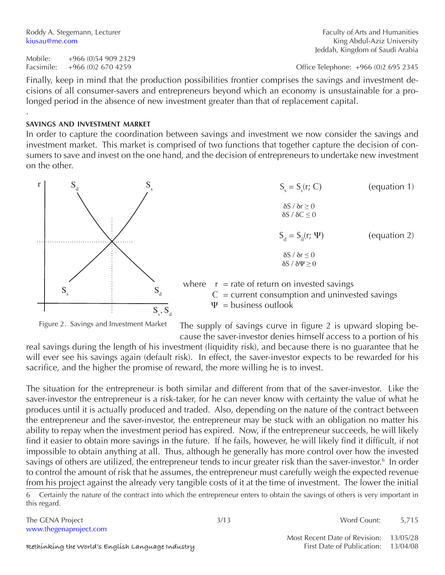.

Mobile: +966 (0)54 909 2329

Finally, keep in mind that the production possibilities frontier comprises the savings and investment decisions of all consumer-savers and entrepreneurs beyond which an economy is unsustainable for a prolonged period in the absence of new investment greater than that of replacement capital.

#### **savings and investment market**

In order to capture the coordination between savings and investment we now consider the savings and investment market. This market is comprised of two functions that together capture the decision of consumers to save and invest on the one hand, and the decision of entrepreneurs to undertake new investment on the other.



Figure 2. Savings and Investment Market

The supply of savings curve in figure 2 is upward sloping be-

cause the saver-investor denies himself access to a portion of his real savings during the length of his investment (liquidity risk), and because there is no guarantee that he will ever see his savings again (default risk). In effect, the saver-investor expects to be rewarded for his sacrifice, and the higher the promise of reward, the more willing he is to invest.

The situation for the entrepreneur is both similar and different from that of the saver-investor. Like the saver-investor the entrepreneur is a risk-taker, for he can never know with certainty the value of what he produces until it is actually produced and traded. Also, depending on the nature of the contract between the entrepreneur and the saver-investor, the entrepreneur may be stuck with an obligation no matter his ability to repay when the investment period has expired. Now, if the entrepreneur succeeds, he will likely find it easier to obtain more savings in the future. If he fails, however, he will likely find it difficult, if not impossible to obtain anything at all. Thus, although he generally has more control over how the invested savings of others are utilized, the entrepreneur tends to incur greater risk than the saver-investor.<sup>6</sup> In order to control the amount of risk that he assumes, the entrepreneur must carefully weigh the expected revenue from his project against the already very tangible costs of it at the time of investment. The lower the initial

6 Certainly the nature of the contract into which the entrepreneur enters to obtain the savings of others is very important in this regard.

www.thegenaproject.com

The GENA Project 5,715

Facsimile: +966 (0)2 670 4259 Office Telephone: +966 (0)2 695 2345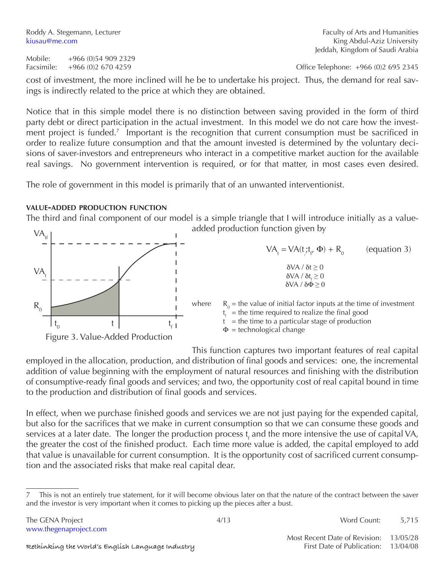Mobile: +966 (0)54 909 2329 Facsimile: +966 (0)2 670 4259 Office Telephone: +966 (0)2 695 2345

cost of investment, the more inclined will he be to undertake his project. Thus, the demand for real savings is indirectly related to the price at which they are obtained.

Notice that in this simple model there is no distinction between saving provided in the form of third party debt or direct participation in the actual investment. In this model we do not care how the investment project is funded.<sup>7</sup> Important is the recognition that current consumption must be sacrificed in order to realize future consumption and that the amount invested is determined by the voluntary decisions of saver-investors and entrepreneurs who interact in a competitive market auction for the available real savings. No government intervention is required, or for that matter, in most cases even desired.

The role of government in this model is primarily that of an unwanted interventionist.

### **value-added production function**

The third and final component of our model is a simple triangle that I will introduce initially as a valueded production function given by

| $VA_{\text{ff}}$                            | added production function given by                                                                                                   |  |  |
|---------------------------------------------|--------------------------------------------------------------------------------------------------------------------------------------|--|--|
|                                             | (equation 3)<br>$VA_{t} = VA(t; t_{t}, \Phi) + R_{0}$                                                                                |  |  |
| VA.                                         | $\delta$ VA / $\delta t \geq 0$<br>$\delta VA / \delta t \geq 0$<br>$\delta$ VA / $\delta \Phi \geq 0$                               |  |  |
| $R_{0}$                                     | $R_0$ = the value of initial factor inputs at the time of investment<br>where<br>$t_i$ = the time required to realize the final good |  |  |
| $t_{0}$<br>Figure 3. Value-Added Production | $=$ the time to a particular stage of production<br>$\Phi$ = technological change                                                    |  |  |

This function captures two important features of real capital employed in the allocation, production, and distribution of final goods and services: one, the incremental addition of value beginning with the employment of natural resources and finishing with the distribution of consumptive-ready final goods and services; and two, the opportunity cost of real capital bound in time to the production and distribution of final goods and services.

In effect, when we purchase finished goods and services we are not just paying for the expended capital, but also for the sacrifices that we make in current consumption so that we can consume these goods and services at a later date. The longer the production process  $t_f$  and the more intensive the use of capital VA, the greater the cost of the finished product. Each time more value is added, the capital employed to add that value is unavailable for current consumption. It is the opportunity cost of sacrificed current consumption and the associated risks that make real capital dear.

This is not an entirely true statement, for it will become obvious later on that the nature of the contract between the saver and the investor is very important when it comes to picking up the pieces after a bust.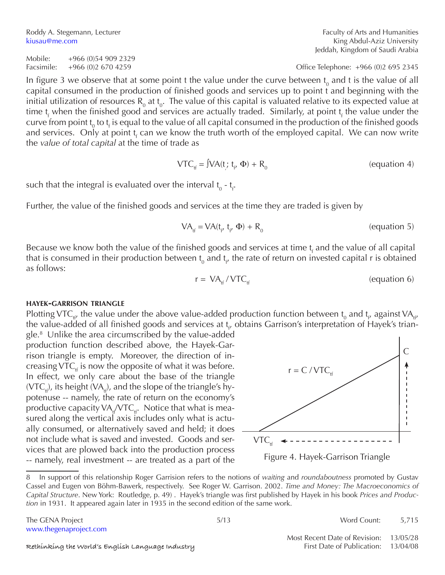Roddy A. Stegemann, Lecturer Faculty of Arts and Humanities kiusau@me.com **King Abdul-Aziz University** 

Mobile: +966 (0)54 909 2329 Facsimile: +966 (0)2 670 4259 Office Telephone: +966 (0)2 695 2345

In figure 3 we observe that at some point t the value under the curve between  ${\rm t}_{_{0}}$  and t is the value of all capital consumed in the production of finished goods and services up to point t and beginning with the initial utilization of resources R<sub>0</sub> at t<sub>0</sub>. The value of this capital is valuated relative to its expected value at time t<sub>f</sub> when the finished good and services are actually traded. Similarly, at point t<sub>f</sub> the value under the curve from point t<sub>0</sub> to t<sub>f</sub> is equal to the value of all capital consumed in the production of the finished goods and services. Only at point t<sub>f</sub> can we know the truth worth of the employed capital. We can now write the *value of total capital* at the time of trade as

$$
VTCtf = JVA(t; tf', \Phi) + R0
$$
 (equation 4)

such that the integral is evaluated over the interval  ${\rm t_o}$  -  ${\rm t_f}.$ 

Further, the value of the finished goods and services at the time they are traded is given by

$$
VA_{\mathfrak{t}f} = VA(t_{\mathfrak{t}f} \ \mathfrak{t}_{\mathfrak{t}f} \ \Phi) + R_0 \tag{equation 5}
$$

Because we know both the value of the finished goods and services at time  $t_f$  and the value of all capital that is consumed in their production between  $\mathfrak{t}_0$  and  $\mathfrak{t}_{\wp}$  the rate of return on invested capital r is obtained as follows:

$$
r = VA_{\text{tf}} / VTC_{\text{tf}} \tag{equation 6}
$$

#### **hayek-garrison triangle**

Plotting VTC<sub>tt</sub>, the value under the above value-added production function between t<sub>0</sub> and t<sub>t</sub>, against VA<sub>tt</sub>, the value-added of all finished goods and services at t<sub>r</sub>, obtains Garrison's interpretation of Hayek's trian-

gle.8 Unlike the area circumscribed by the value-added production function described above, the Hayek-Garrison triangle is empty. Moreover, the direction of increasing VTC<sub>tf</sub> is now the opposite of what it was before. In effect, we only care about the base of the triangle  $(VTC_{H})$ , its height  $(VA_{H})$ , and the slope of the triangle's hypotenuse -- namely, the rate of return on the economy's productive capacity  $VA_{tf}/VTC_{tf}$ . Notice that what is measured along the vertical axis includes only what is actually consumed, or alternatively saved and held; it does not include what is saved and invested. Goods and services that are plowed back into the production process -- namely, real investment -- are treated as a part of the



Figure 4. Hayek-Garrison Triangle

The GENA Project **5/215** S/13 Word Count: 5,715

<sup>8</sup> In support of this relationship Roger Garrision refers to the notions of *waiting* and *roundaboutness* promoted by Gustav Cassel and Eugen von Böhm-Bawerk, respectively. See Roger W. Garrison. 2002. *Time and Money: The Macroeconomics of Capital Structure*. New York: Routledge, p. 49) . Hayek's triangle was first published by Hayek in his book *Prices and Production* in 1931. It appeared again later in 1935 in the second edition of the same work.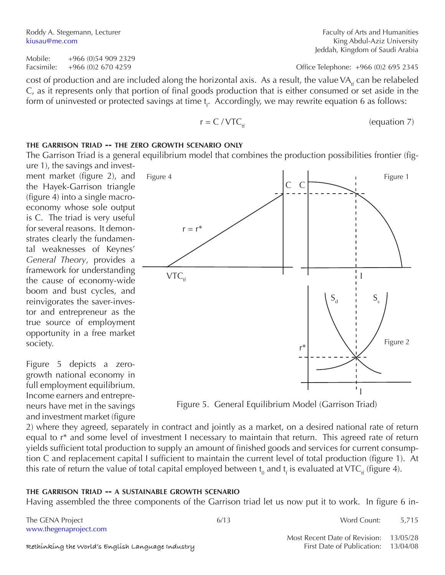Mobile: +966 (0)54 909 2329 Facsimile: +966 (0)2 670 4259 Office Telephone: +966 (0)2 695 2345

cost of production and are included along the horizontal axis. As a result, the value VA<sub>tf</sub> can be relabeled C, as it represents only that portion of final goods production that is either consumed or set aside in the form of uninvested or protected savings at time  ${\mathfrak t}_{\mathfrak f}$ . Accordingly, we may rewrite equation 6 as follows:

$$
r = C / VTCtf \t (equation 7)
$$

 $\mathcal{C}$ 

C

#### **the garrison triad -- the zero growth scenario only**

Figure 4

 $r = r^*$ 

The Garrison Triad is a general equilibrium model that combines the production possibilities frontier (figure 1), the savings and invest-

ment market (figure 2), and the Hayek-Garrison triangle (figure 4) into a single macroeconomy whose sole output is C. The triad is very useful for several reasons. It demonstrates clearly the fundamental weaknesses of Keynes' *General Theory*, provides a framework for understanding the cause of economy-wide boom and bust cycles, and reinvigorates the saver-investor and entrepreneur as the true source of employment opportunity in a free market society.

Figure 5 depicts a zerogrowth national economy in full employment equilibrium. Income earners and entrepreneurs have met in the savings and investment market (figure

I r\*  $S_d$   $S_s$  $VTC_{tt}$ 



2) where they agreed, separately in contract and jointly as a market, on a desired national rate of return equal to r\* and some level of investment I necessary to maintain that return. This agreed rate of return yields sufficient total production to supply an amount of finished goods and services for current consumption C and replacement capital I sufficient to maintain the current level of total production (figure 1). At this rate of return the value of total capital employed between  ${\rm t_o}$  and  ${\rm t_f}$  is evaluated at VTC<sub>tf</sub> (figure 4).

#### **the garrison triad -- a sustainable growth scenario**

Having assembled the three components of the Garrison triad let us now put it to work. In figure 6 in-

The GENA Project **6/13** 6/13 Word Count: 5,715 www.thegenaproject.com

Most Recent Date of Revision: 13/05/28

 $\mathsf{L}_1$ 



Jeddah, Kingdom of Saudi Arabia

Figure 1

Figure 2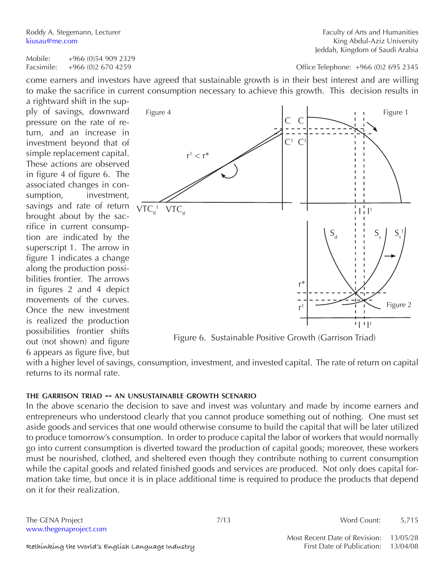Roddy A. Stegemann, Lecturer Faculty of Arts and Humanities

kiusau@me.com **King Abdul-Aziz University** Jeddah, Kingdom of Saudi Arabia

Mobile: +966 (0)54 909 2329

Facsimile: +966 (0)2 670 4259 Office Telephone: +966 (0)2 695 2345

come earners and investors have agreed that sustainable growth is in their best interest and are willing to make the sacrifice in current consumption necessary to achieve this growth. This decision results in

a rightward shift in the supply of savings, downward pressure on the rate of return, and an increase in investment beyond that of simple replacement capital. These actions are observed in figure 4 of figure 6. The associated changes in consumption, investment, savings and rate of return brought about by the sacrifice in current consumption are indicated by the superscript 1. The arrow in figure 1 indicates a change along the production possibilities frontier. The arrows in figures 2 and 4 depict movements of the curves. Once the new investment is realized the production possibilities frontier shifts out (not shown) and figure 6 appears as figure five, but



Figure 6. Sustainable Positive Growth (Garrison Triad)

with a higher level of savings, consumption, investment, and invested capital. The rate of return on capital returns to its normal rate.

#### **the garrison triad -- an unsustainable growth scenario**

In the above scenario the decision to save and invest was voluntary and made by income earners and entrepreneurs who understood clearly that you cannot produce something out of nothing. One must set aside goods and services that one would otherwise consume to build the capital that will be later utilized to produce tomorrow's consumption. In order to produce capital the labor of workers that would normally go into current consumption is diverted toward the production of capital goods; moreover, these workers must be nourished, clothed, and sheltered even though they contribute nothing to current consumption while the capital goods and related finished goods and services are produced. Not only does capital formation take time, but once it is in place additional time is required to produce the products that depend on it for their realization.

www.thegenaproject.com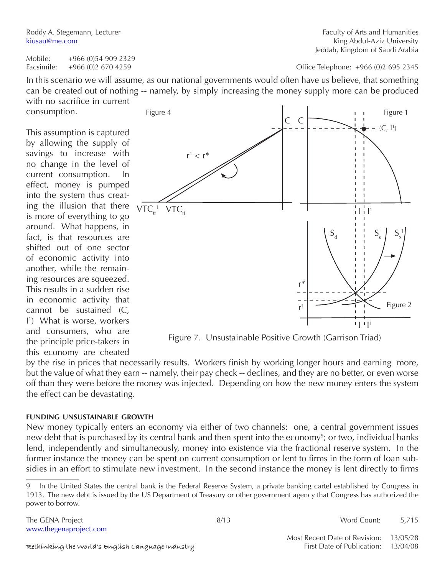Roddy A. Stegemann, Lecturer Faculty of Arts and Humanities kiusau@me.com **King Abdul-Aziz University** Jeddah, Kingdom of Saudi Arabia

Mobile: +966 (0)54 909 2329

Facsimile: +966 (0)2 670 4259 Office Telephone: +966 (0)2 695 2345

In this scenario we will assume, as our national governments would often have us believe, that something can be created out of nothing -- namely, by simply increasing the money supply more can be produced with no sacrifice in current

consumption.

This assumption is captured by allowing the supply of savings to increase with no change in the level of current consumption. In effect, money is pumped into the system thus creating the illusion that there is more of everything to go around. What happens, in fact, is that resources are shifted out of one sector of economic activity into another, while the remaining resources are squeezed. This results in a sudden rise in economic activity that cannot be sustained (C, I 1 ) What is worse, workers and consumers, who are the principle price-takers in this economy are cheated



Figure 7. Unsustainable Positive Growth (Garrison Triad)

by the rise in prices that necessarily results. Workers finish by working longer hours and earning more, but the value of what they earn -- namely, their pay check -- declines, and they are no better, or even worse off than they were before the money was injected. Depending on how the new money enters the system the effect can be devastating.

#### **funding unsustainable growth**

New money typically enters an economy via either of two channels: one, a central government issues new debt that is purchased by its central bank and then spent into the economy<sup>9</sup>; or two, individual banks lend, independently and simultaneously, money into existence via the fractional reserve system. In the former instance the money can be spent on current consumption or lent to firms in the form of loan subsidies in an effort to stimulate new investment. In the second instance the money is lent directly to firms

The GENA Project **8/13** Word Count: 5,715

<sup>9</sup> In the United States the central bank is the Federal Reserve System, a private banking cartel established by Congress in 1913. The new debt is issued by the US Department of Treasury or other government agency that Congress has authorized the power to borrow.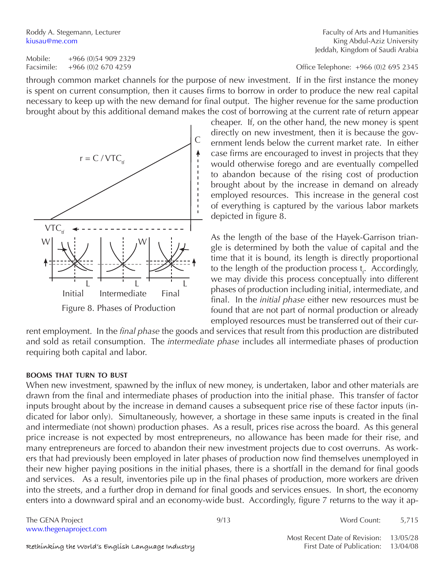Mobile: +966 (0)54 909 2329 Facsimile: +966 (0)2 670 4259 Office Telephone: +966 (0)2 695 2345

through common market channels for the purpose of new investment. If in the first instance the money is spent on current consumption, then it causes firms to borrow in order to produce the new real capital necessary to keep up with the new demand for final output. The higher revenue for the same production brought about by this additional demand makes the cost of borrowing at the current rate of return appear

> cheaper. If, on the other hand, the new money is spent directly on new investment, then it is because the government lends below the current market rate. In either case firms are encouraged to invest in projects that they would otherwise forego and are eventually compelled to abandon because of the rising cost of production brought about by the increase in demand on already employed resources. This increase in the general cost of everything is captured by the various labor markets depicted in figure 8.

> As the length of the base of the Hayek-Garrison triangle is determined by both the value of capital and the time that it is bound, its length is directly proportional to the length of the production process t<sub>f</sub>. Accordingly, we may divide this process conceptually into different phases of production including initial, intermediate, and final. In the *initial phase* either new resources must be found that are not part of normal production or already employed resources must be transferred out of their cur-

rent employment. In the *final phase* the goods and services that result from this production are distributed and sold as retail consumption. The *intermediate phase* includes all intermediate phases of production requiring both capital and labor.

#### **booms that turn to bust**

When new investment, spawned by the influx of new money, is undertaken, labor and other materials are drawn from the final and intermediate phases of production into the initial phase. This transfer of factor inputs brought about by the increase in demand causes a subsequent price rise of these factor inputs (indicated for labor only). Simultaneously, however, a shortage in these same inputs is created in the final and intermediate (not shown) production phases. As a result, prices rise across the board. As this general price increase is not expected by most entrepreneurs, no allowance has been made for their rise, and many entrepreneurs are forced to abandon their new investment projects due to cost overruns. As workers that had previously been employed in later phases of production now find themselves unemployed in their new higher paying positions in the initial phases, there is a shortfall in the demand for final goods and services. As a result, inventories pile up in the final phases of production, more workers are driven into the streets, and a further drop in demand for final goods and services ensues. In short, the economy enters into a downward spiral and an economy-wide bust. Accordingly, figure 7 returns to the way it ap-

The GENA Project **12.12 Set 3.5 and 3.5 and 3.6 and 4.6 and 4.6 and 4.6 and 4.6 and 4.6 and 4.7 and 4.7 and 4.7 and 4.7 and 4.7 and 4.7 and 4.7 and 4.7 and 4.7 and 4.7 and 4.7 and 4.7 and 4.7 and 4.7 and 4.7 and 4.7 and 4.** www.thegenaproject.com



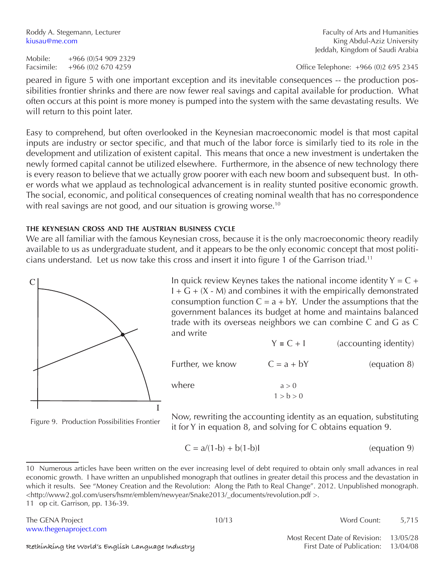Roddy A. Stegemann, Lecturer Faculty of Arts and Humanities kiusau@me.com **King Abdul-Aziz University** Jeddah, Kingdom of Saudi Arabia

Facsimile: +966 (0)2 670 4259 Office Telephone: +966 (0)2 695 2345

peared in figure 5 with one important exception and its inevitable consequences -- the production possibilities frontier shrinks and there are now fewer real savings and capital available for production. What often occurs at this point is more money is pumped into the system with the same devastating results. We will return to this point later.

Easy to comprehend, but often overlooked in the Keynesian macroeconomic model is that most capital inputs are industry or sector specific, and that much of the labor force is similarly tied to its role in the development and utilization of existent capital. This means that once a new investment is undertaken the newly formed capital cannot be utilized elsewhere. Furthermore, in the absence of new technology there is every reason to believe that we actually grow poorer with each new boom and subsequent bust. In other words what we applaud as technological advancement is in reality stunted positive economic growth. The social, economic, and political consequences of creating nominal wealth that has no correspondence with real savings are not good, and our situation is growing worse.<sup>10</sup>

#### **the keynesian cross and the austrian business cycle**

We are all familiar with the famous Keynesian cross, because it is the only macroeconomic theory readily available to us as undergraduate student, and it appears to be the only economic concept that most politicians understand. Let us now take this cross and insert it into figure 1 of the Garrison triad.<sup>11</sup>



In quick review Keynes takes the national income identity  $Y = C +$  $I + G + (X - M)$  and combines it with the empirically demonstrated consumption function  $C = a + bY$ . Under the assumptions that the government balances its budget at home and maintains balanced trade with its overseas neighbors we can combine C and G as C and write  $Y \equiv C + I$  (accounting identity)

| Further, we know | $C = a + bY$       | (equation 8) |
|------------------|--------------------|--------------|
| where            | a > 0<br>1 > b > 0 |              |
|                  |                    |              |

Figure 9. Production Possibilities Frontier

Now, rewriting the accounting identity as an equation, substituting it for Y in equation 8, and solving for C obtains equation 9.

$$
C = a/(1-b) + b(1-b)I
$$
 (equation 9)

<sup>10</sup> Numerous articles have been written on the ever increasing level of debt required to obtain only small advances in real economic growth. I have written an unpublished monograph that outlines in greater detail this process and the devastation in which it results. See "Money Creation and the Revolution: Along the Path to Real Change". 2012. Unpublished monograph. <http://www2.gol.com/users/hsmr/emblem/newyear/Snake2013/\_documents/revolution.pdf >. 11 op cit. Garrison, pp. 136-39.

| The GENA Project       | 10/13 | Word Count:                            |  |
|------------------------|-------|----------------------------------------|--|
| www.thegenaproject.com |       | Most Recent Date of Revision: 13/05/28 |  |

Rethinking the World's English Language Industry **First Date of Publication:** 13/04/08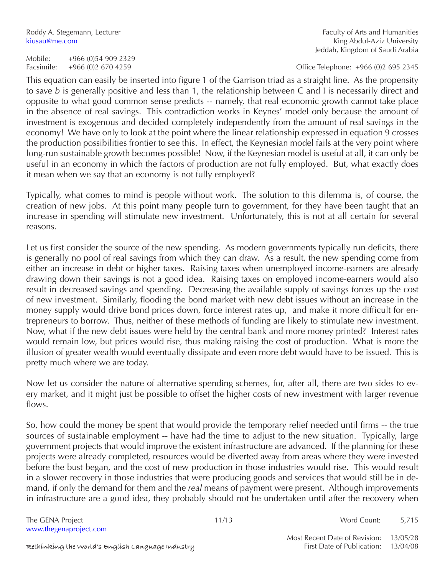Roddy A. Stegemann, Lecturer Faculty of Arts and Humanities Faculty of Arts and Humanities kiusau@me.com **King Abdul-Aziz University** Jeddah, Kingdom of Saudi Arabia

Facsimile: +966 (0)2 670 4259 Office Telephone: +966 (0)2 695 2345

This equation can easily be inserted into figure 1 of the Garrison triad as a straight line. As the propensity to save *b* is generally positive and less than 1, the relationship between C and I is necessarily direct and opposite to what good common sense predicts -- namely, that real economic growth cannot take place in the absence of real savings. This contradiction works in Keynes' model only because the amount of investment is exogenous and decided completely independently from the amount of real savings in the economy! We have only to look at the point where the linear relationship expressed in equation 9 crosses the production possibilities frontier to see this. In effect, the Keynesian model fails at the very point where long-run sustainable growth becomes possible! Now, if the Keynesian model is useful at all, it can only be useful in an economy in which the factors of production are not fully employed. But, what exactly does it mean when we say that an economy is not fully employed?

Typically, what comes to mind is people without work. The solution to this dilemma is, of course, the creation of new jobs. At this point many people turn to government, for they have been taught that an increase in spending will stimulate new investment. Unfortunately, this is not at all certain for several reasons.

Let us first consider the source of the new spending. As modern governments typically run deficits, there is generally no pool of real savings from which they can draw. As a result, the new spending come from either an increase in debt or higher taxes. Raising taxes when unemployed income-earners are already drawing down their savings is not a good idea. Raising taxes on employed income-earners would also result in decreased savings and spending. Decreasing the available supply of savings forces up the cost of new investment. Similarly, flooding the bond market with new debt issues without an increase in the money supply would drive bond prices down, force interest rates up, and make it more difficult for entrepreneurs to borrow. Thus, neither of these methods of funding are likely to stimulate new investment. Now, what if the new debt issues were held by the central bank and more money printed? Interest rates would remain low, but prices would rise, thus making raising the cost of production. What is more the illusion of greater wealth would eventually dissipate and even more debt would have to be issued. This is pretty much where we are today.

Now let us consider the nature of alternative spending schemes, for, after all, there are two sides to every market, and it might just be possible to offset the higher costs of new investment with larger revenue flows.

So, how could the money be spent that would provide the temporary relief needed until firms -- the true sources of sustainable employment -- have had the time to adjust to the new situation. Typically, large government projects that would improve the existent infrastructure are advanced. If the planning for these projects were already completed, resources would be diverted away from areas where they were invested before the bust began, and the cost of new production in those industries would rise. This would result in a slower recovery in those industries that were producing goods and services that would still be in demand, if only the demand for them and the *real* means of payment were present. Although improvements in infrastructure are a good idea, they probably should not be undertaken until after the recovery when

www.thegenaproject.com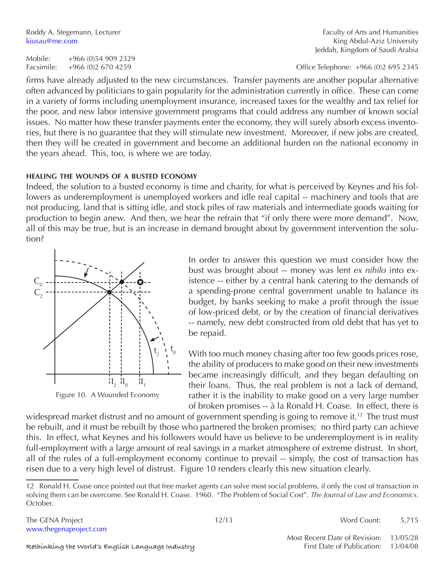Roddy A. Stegemann, Lecturer Faculty of Arts and Humanities kiusau@me.com **King Abdul-Aziz University** Jeddah, Kingdom of Saudi Arabia

Facsimile: +966 (0)2 670 4259 Office Telephone: +966 (0)2 695 2345

firms have already adjusted to the new circumstances. Transfer payments are another popular alternative often advanced by politicians to gain popularity for the administration currently in office. These can come in a variety of forms including unemployment insurance, increased taxes for the wealthy and tax relief for the poor, and new labor intensive government programs that could address any number of known social issues. No matter how these transfer payments enter the economy, they will surely absorb excess inventories, but there is no guarantee that they will stimulate new investment. Moreover, if new jobs are created, then they will be created in government and become an additional burden on the national economy in the years ahead. This, too, is where we are today.

#### **healing the wounds of a busted economy**

Indeed, the solution to a busted economy is time and charity, for what is perceived by Keynes and his followers as underemployment is unemployed workers and idle real capital -- machinery and tools that are not producing, land that is sitting idle, and stock piles of raw materials and intermediate goods waiting for production to begin anew. And then, we hear the refrain that "if only there were more demand". Now, all of this may be true, but is an increase in demand brought about by government intervention the solution?



Figure 10. A Wounded Economy

In order to answer this question we must consider how the bust was brought about -- money was lent *ex nihilo* into existence -- either by a central bank catering to the demands of a spending-prone central government unable to balance its budget, by banks seeking to make a profit through the issue of low-priced debt, or by the creation of financial derivatives -- namely, new debt constructed from old debt that has yet to be repaid.

With too much money chasing after too few goods prices rose, the ability of producers to make good on their new investments became increasingly difficult, and they began defaulting on their loans. Thus, the real problem is not a lack of demand, rather it is the inability to make good on a very large number of broken promises -- à la Ronald H. Coase. In effect, there is

widespread market distrust and no amount of government spending is going to remove it.<sup>12</sup> The trust must be rebuilt, and it must be rebuilt by those who partnered the broken promises; no third party can achieve this. In effect, what Keynes and his followers would have us believe to be underemployment is in reality full-employment with a large amount of real savings in a market atmosphere of extreme distrust. In short, all of the rules of a full-employment economy continue to prevail -- simply, the cost of transaction has risen due to a very high level of distrust. Figure 10 renders clearly this new situation clearly.

The GENA Project **12/13** Word Count: 5,715

Most Recent Date of Revision: 13/05/28

<sup>12</sup> Ronald H. Coase once pointed out that free market agents can solve most social problems, if only the cost of transaction in solving them can be overcome. See Ronald H. Coase. 1960. "The Problem of Social Cost". *The Journal of Law and Economics*. October.